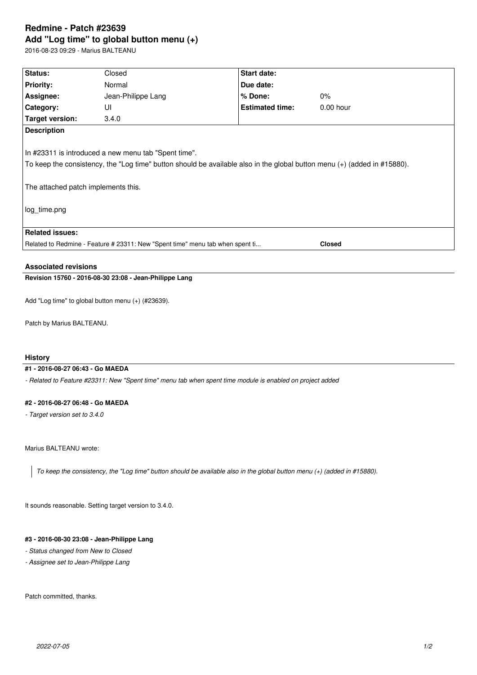# **Redmine - Patch #23639 Add "Log time" to global button menu (+)**

2016-08-23 09:29 - Marius BALTEANU

| <b>Status:</b>                                      | Closed                                                                                                                   | Start date:            |             |
|-----------------------------------------------------|--------------------------------------------------------------------------------------------------------------------------|------------------------|-------------|
| <b>Priority:</b>                                    | Normal                                                                                                                   | Due date:              |             |
| Assignee:                                           | Jean-Philippe Lang                                                                                                       | $%$ Done:              | $0\%$       |
| <b>Category:</b>                                    | UI                                                                                                                       | <b>Estimated time:</b> | $0.00$ hour |
| Target version:                                     | 3.4.0                                                                                                                    |                        |             |
| <b>Description</b>                                  |                                                                                                                          |                        |             |
|                                                     | In #23311 is introduced a new menu tab "Spent time".                                                                     |                        |             |
| The attached patch implements this.<br>log time.png | To keep the consistency, the "Log time" button should be available also in the global button menu (+) (added in #15880). |                        |             |
| <b>Related issues:</b>                              |                                                                                                                          |                        |             |

#### **Associated revisions**

# **Revision 15760 - 2016-08-30 23:08 - Jean-Philippe Lang**

Add "Log time" to global button menu (+) (#23639).

Patch by Marius BALTEANU.

### **History**

#### **#1 - 2016-08-27 06:43 - Go MAEDA**

*- Related to Feature #23311: New "Spent time" menu tab when spent time module is enabled on project added*

#### **#2 - 2016-08-27 06:48 - Go MAEDA**

*- Target version set to 3.4.0*

Marius BALTEANU wrote:

*To keep the consistency, the "Log time" button should be available also in the global button menu (+) (added in #15880).*

It sounds reasonable. Setting target version to 3.4.0.

## **#3 - 2016-08-30 23:08 - Jean-Philippe Lang**

- *Status changed from New to Closed*
- *Assignee set to Jean-Philippe Lang*

Patch committed, thanks.